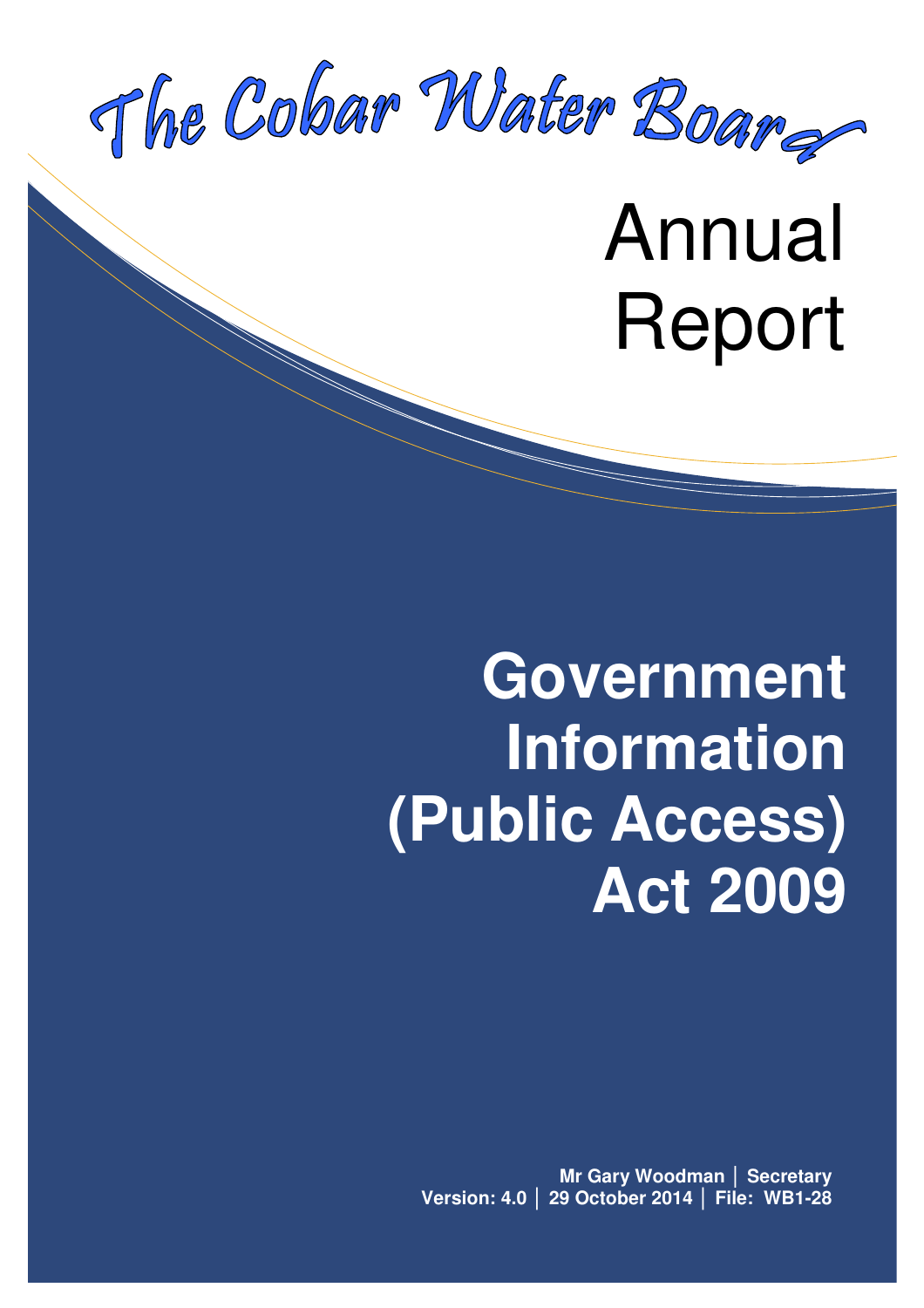

Annual Report

# **Government Information (Public Access) Act 2009**

**Mr Gary Woodman** │ **Secretary Version: 4.0** │ **29 October 2014** │ **File: WB1-28**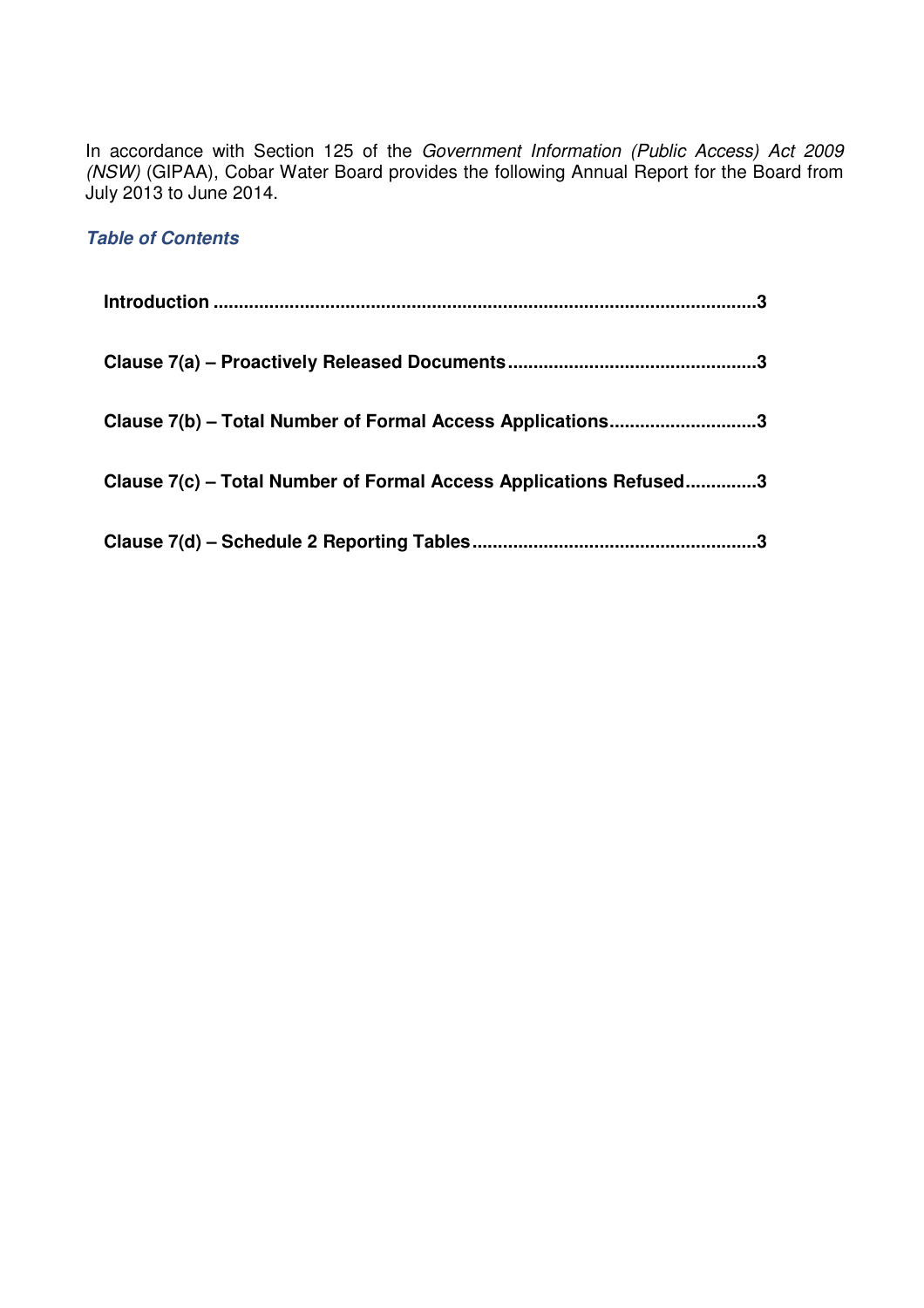In accordance with Section 125 of the Government Information (Public Access) Act 2009 (NSW) (GIPAA), Cobar Water Board provides the following Annual Report for the Board from July 2013 to June 2014.

### **Table of Contents**

| Clause 7(b) – Total Number of Formal Access Applications3         |
|-------------------------------------------------------------------|
| Clause 7(c) – Total Number of Formal Access Applications Refused3 |
| .3                                                                |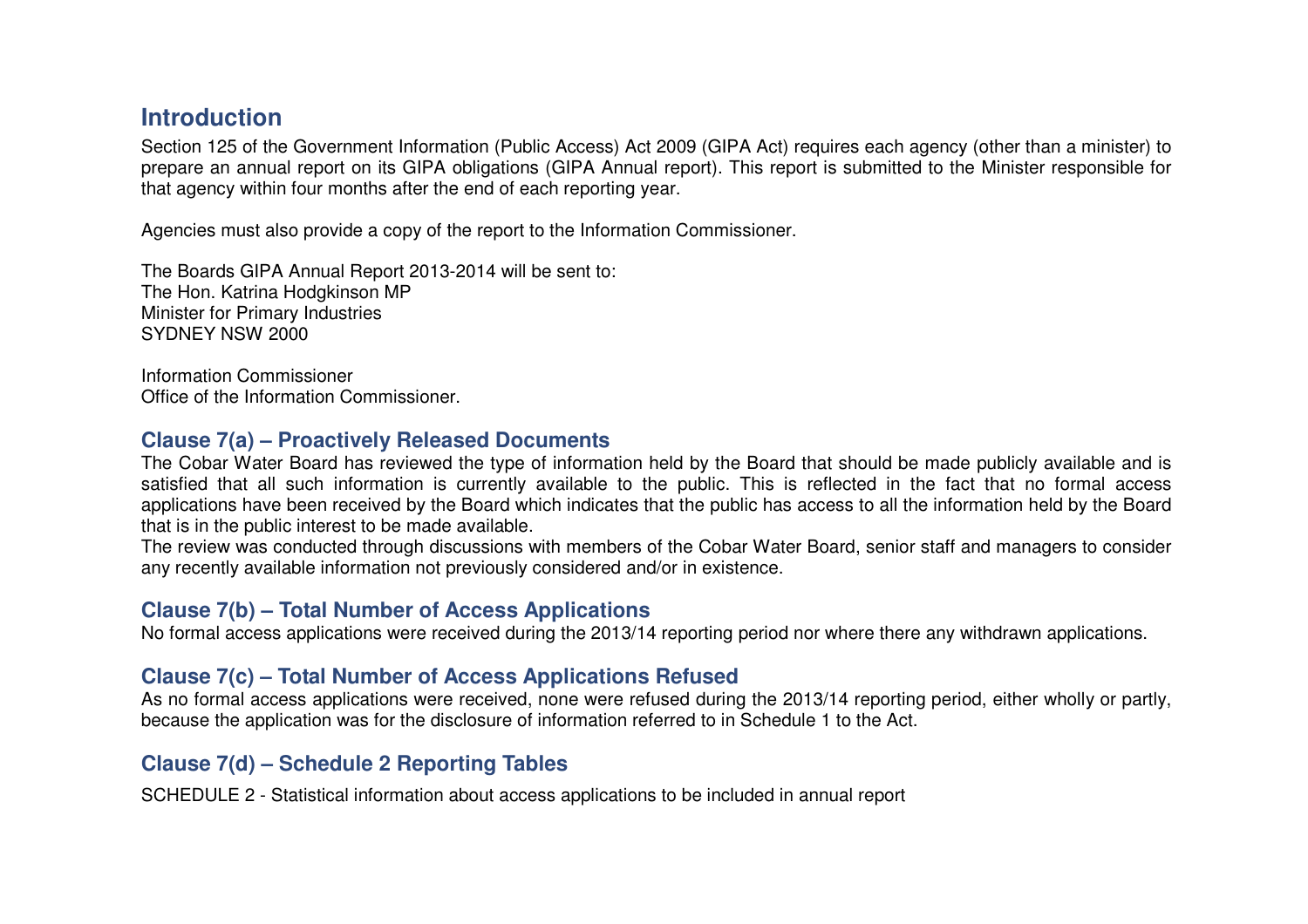# **Introduction**

Section 125 of the Government Information (Public Access) Act 2009 (GIPA Act) requires each agency (other than a minister) to prepare an annual report on its GIPA obligations (GIPA Annual report). This report is submitted to the Minister responsible for that agency within four months after the end of each reporting year.

Agencies must also provide a copy of the report to the Information Commissioner.

The Boards GIPA Annual Report 2013-2014 will be sent to: The Hon. Katrina Hodgkinson MP Minister for Primary Industries SYDNEY NSW 2000

Information Commissioner Office of the Information Commissioner.

#### **Clause 7(a) – Proactively Released Documents**

 The Cobar Water Board has reviewed the type of information held by the Board that should be made publicly available and is satisfied that all such information is currently available to the public. This is reflected in the fact that no formal access applications have been received by the Board which indicates that the public has access to all the information held by the Board that is in the public interest to be made available.

 The review was conducted through discussions with members of the Cobar Water Board, senior staff and managers to consider any recently available information not previously considered and/or in existence.

#### **Clause 7(b) – Total Number of Access Applications**

No formal access applications were received during the 2013/14 reporting period nor where there any withdrawn applications.

# **Clause 7(c) – Total Number of Access Applications Refused**

 As no formal access applications were received, none were refused during the 2013/14 reporting period, either wholly or partly, because the application was for the disclosure of information referred to in Schedule 1 to the Act.

# **Clause 7(d) – Schedule 2 Reporting Tables**

SCHEDULE 2 - Statistical information about access applications to be included in annual report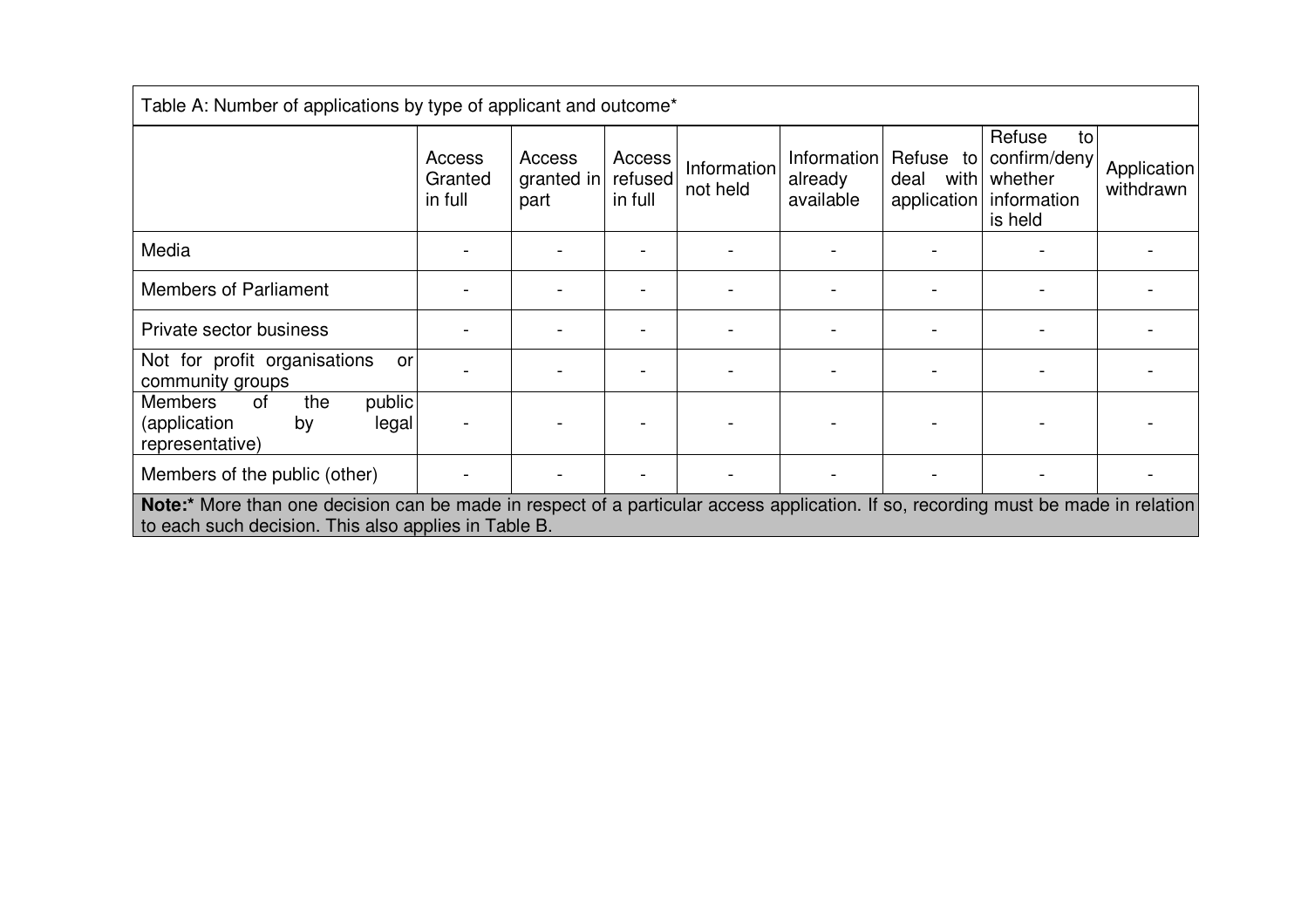| Table A: Number of applications by type of applicant and outcome*                                                                                                                          |                              |                              |                              |                         |                                     |                                          |                                                                   |                          |
|--------------------------------------------------------------------------------------------------------------------------------------------------------------------------------------------|------------------------------|------------------------------|------------------------------|-------------------------|-------------------------------------|------------------------------------------|-------------------------------------------------------------------|--------------------------|
|                                                                                                                                                                                            | Access<br>Granted<br>in full | Access<br>granted in<br>part | Access<br>refused<br>in full | Information<br>not held | Information<br>already<br>available | Refuse to<br>with<br>deal<br>application | Refuse<br>to<br>confirm/deny<br>whether<br>information<br>is held | Application<br>withdrawn |
| Media                                                                                                                                                                                      |                              |                              |                              |                         |                                     |                                          |                                                                   |                          |
| <b>Members of Parliament</b>                                                                                                                                                               |                              |                              |                              |                         |                                     |                                          |                                                                   |                          |
| Private sector business                                                                                                                                                                    |                              |                              |                              |                         |                                     |                                          |                                                                   |                          |
| Not for profit organisations<br>or<br>community groups                                                                                                                                     |                              |                              |                              |                         |                                     |                                          |                                                                   |                          |
| public<br><b>Members</b><br>the<br>0f<br>(application<br>legal<br>by<br>representative)                                                                                                    |                              |                              |                              |                         |                                     |                                          |                                                                   |                          |
| Members of the public (other)                                                                                                                                                              |                              |                              |                              |                         |                                     |                                          |                                                                   |                          |
| Note:* More than one decision can be made in respect of a particular access application. If so, recording must be made in relation<br>to each such decision. This also applies in Table B. |                              |                              |                              |                         |                                     |                                          |                                                                   |                          |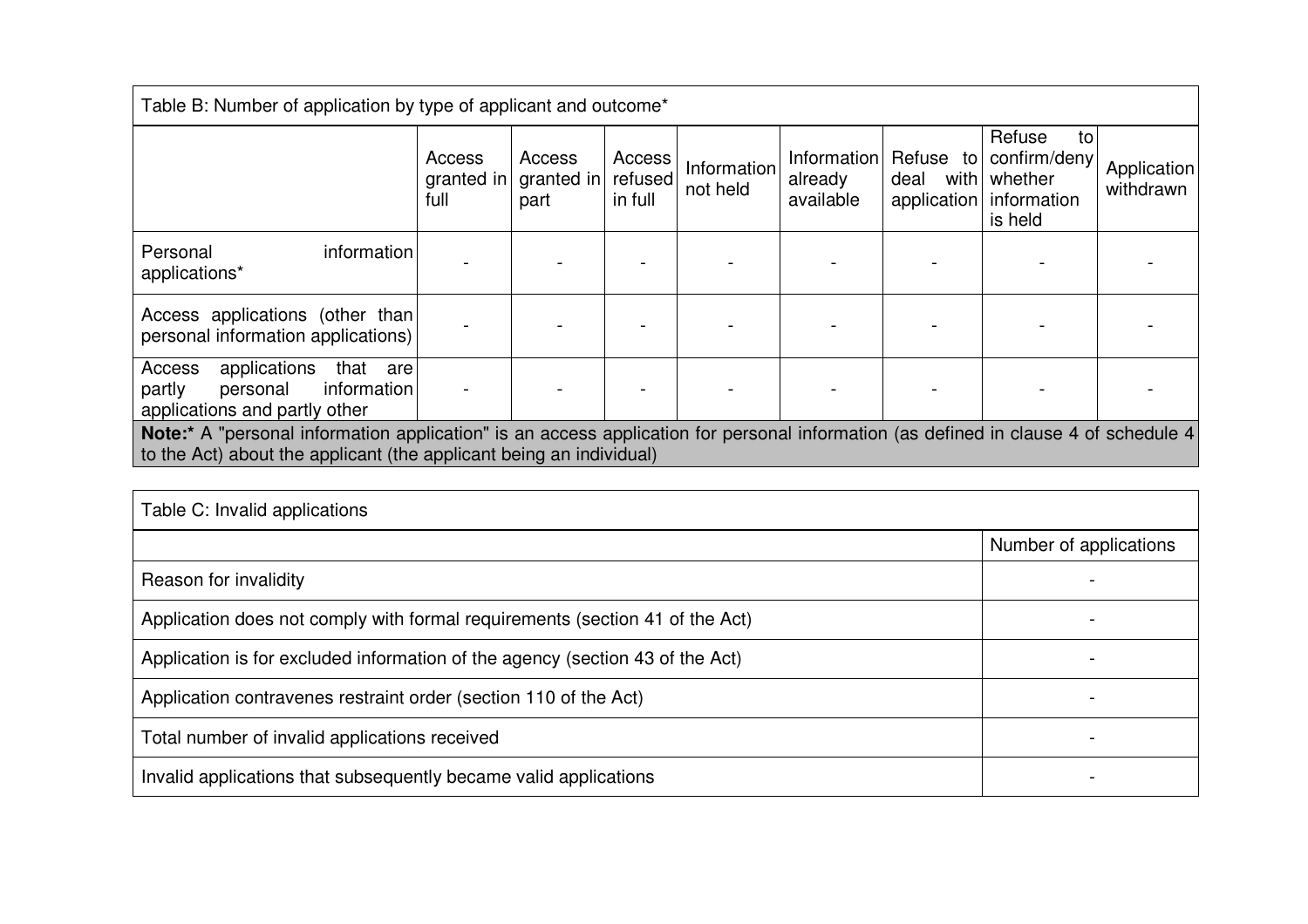| Table B: Number of application by type of applicant and outcome*                                                                                                                                           |                              |                                     |                              |                         |                                     |                                          |                                                                   |                          |
|------------------------------------------------------------------------------------------------------------------------------------------------------------------------------------------------------------|------------------------------|-------------------------------------|------------------------------|-------------------------|-------------------------------------|------------------------------------------|-------------------------------------------------------------------|--------------------------|
|                                                                                                                                                                                                            | Access<br>granted in<br>full | <b>Access</b><br>granted in<br>part | Access<br>refused<br>in full | Information<br>not held | Information<br>already<br>available | Refuse to<br>with<br>deal<br>application | Refuse<br>to<br>confirm/deny<br>whether<br>information<br>is held | Application<br>withdrawn |
| Personal<br>information<br>applications*                                                                                                                                                                   |                              |                                     |                              |                         |                                     |                                          |                                                                   |                          |
| Access applications (other than<br>personal information applications)                                                                                                                                      |                              |                                     |                              |                         |                                     |                                          |                                                                   |                          |
| Access<br>applications<br>that<br>are<br>partly<br>information<br>personal<br>applications and partly other                                                                                                |                              |                                     |                              |                         |                                     |                                          |                                                                   |                          |
| Note:* A "personal information application" is an access application for personal information (as defined in clause 4 of schedule 4<br>to the Act) about the applicant (the applicant being an individual) |                              |                                     |                              |                         |                                     |                                          |                                                                   |                          |

| Table C: Invalid applications                                                 |                        |  |  |  |
|-------------------------------------------------------------------------------|------------------------|--|--|--|
|                                                                               | Number of applications |  |  |  |
| Reason for invalidity                                                         |                        |  |  |  |
| Application does not comply with formal requirements (section 41 of the Act)  |                        |  |  |  |
| Application is for excluded information of the agency (section 43 of the Act) |                        |  |  |  |
| Application contravenes restraint order (section 110 of the Act)              |                        |  |  |  |
| Total number of invalid applications received                                 |                        |  |  |  |
| Invalid applications that subsequently became valid applications              |                        |  |  |  |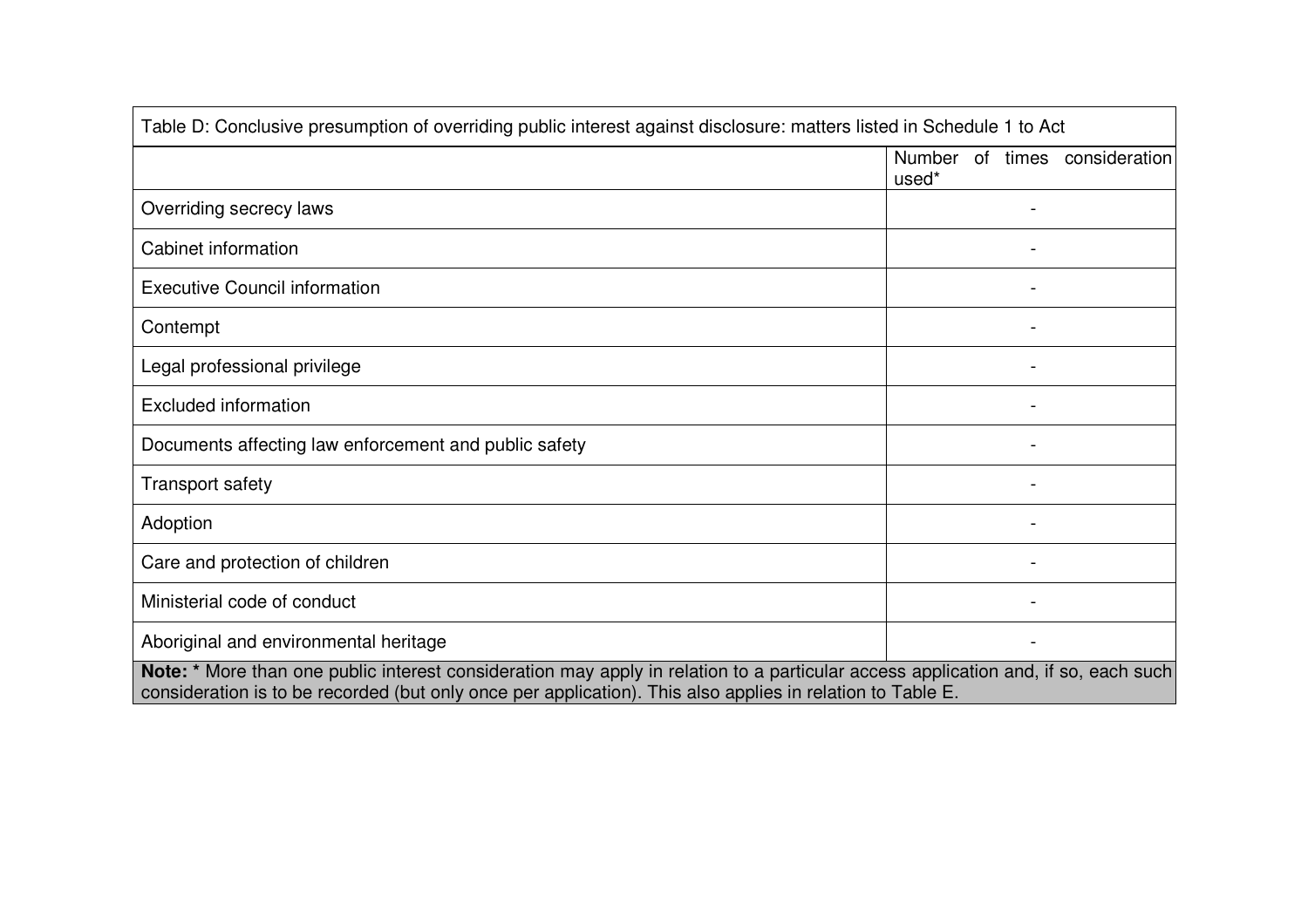| Table D: Conclusive presumption of overriding public interest against disclosure: matters listed in Schedule 1 to Act                                                                                                                            |       |   |                               |
|--------------------------------------------------------------------------------------------------------------------------------------------------------------------------------------------------------------------------------------------------|-------|---|-------------------------------|
|                                                                                                                                                                                                                                                  | used* |   | Number of times consideration |
| Overriding secrecy laws                                                                                                                                                                                                                          |       |   |                               |
| Cabinet information                                                                                                                                                                                                                              |       |   |                               |
| <b>Executive Council information</b>                                                                                                                                                                                                             |       |   |                               |
| Contempt                                                                                                                                                                                                                                         |       |   |                               |
| Legal professional privilege                                                                                                                                                                                                                     |       |   |                               |
| <b>Excluded information</b>                                                                                                                                                                                                                      |       |   |                               |
| Documents affecting law enforcement and public safety                                                                                                                                                                                            |       | ۰ |                               |
| <b>Transport safety</b>                                                                                                                                                                                                                          |       |   |                               |
| Adoption                                                                                                                                                                                                                                         |       |   |                               |
| Care and protection of children                                                                                                                                                                                                                  |       |   |                               |
| Ministerial code of conduct                                                                                                                                                                                                                      |       |   |                               |
| Aboriginal and environmental heritage                                                                                                                                                                                                            |       |   |                               |
| Note: * More than one public interest consideration may apply in relation to a particular access application and, if so, each such<br>consideration is to be recorded (but only once per application). This also applies in relation to Table E. |       |   |                               |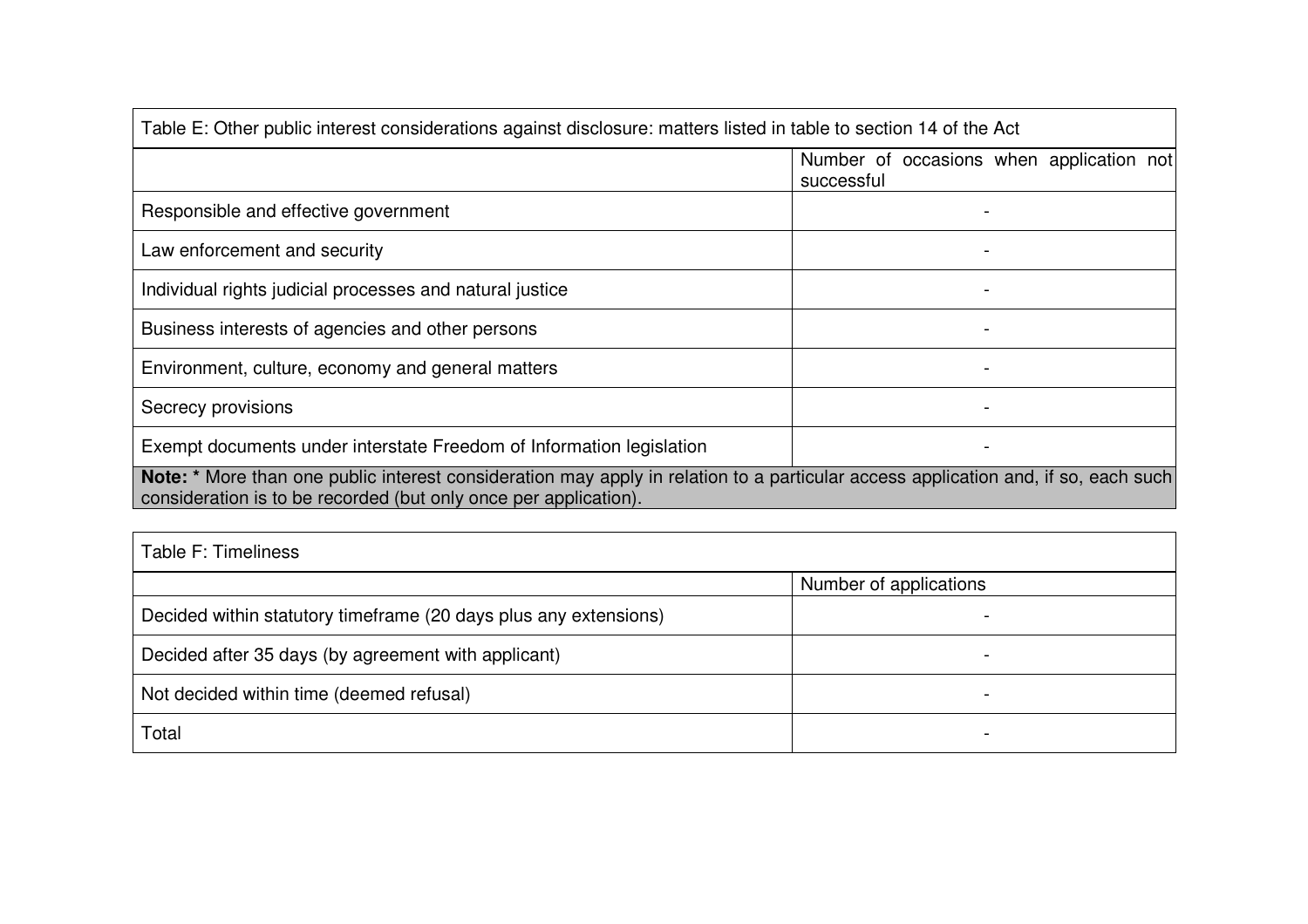| Table E: Other public interest considerations against disclosure: matters listed in table to section 14 of the Act                                                                                     |                                                           |  |  |  |
|--------------------------------------------------------------------------------------------------------------------------------------------------------------------------------------------------------|-----------------------------------------------------------|--|--|--|
|                                                                                                                                                                                                        | occasions when application not<br>Number of<br>successful |  |  |  |
| Responsible and effective government                                                                                                                                                                   |                                                           |  |  |  |
| Law enforcement and security                                                                                                                                                                           |                                                           |  |  |  |
| Individual rights judicial processes and natural justice                                                                                                                                               |                                                           |  |  |  |
| Business interests of agencies and other persons                                                                                                                                                       |                                                           |  |  |  |
| Environment, culture, economy and general matters                                                                                                                                                      |                                                           |  |  |  |
| Secrecy provisions                                                                                                                                                                                     |                                                           |  |  |  |
| Exempt documents under interstate Freedom of Information legislation                                                                                                                                   |                                                           |  |  |  |
| Note: * More than one public interest consideration may apply in relation to a particular access application and, if so, each such<br>consideration is to be recorded (but only once per application). |                                                           |  |  |  |

| Table F: Timeliness                                              |                        |  |  |
|------------------------------------------------------------------|------------------------|--|--|
|                                                                  | Number of applications |  |  |
| Decided within statutory timeframe (20 days plus any extensions) |                        |  |  |
| Decided after 35 days (by agreement with applicant)              |                        |  |  |
| Not decided within time (deemed refusal)                         |                        |  |  |
| Total                                                            |                        |  |  |